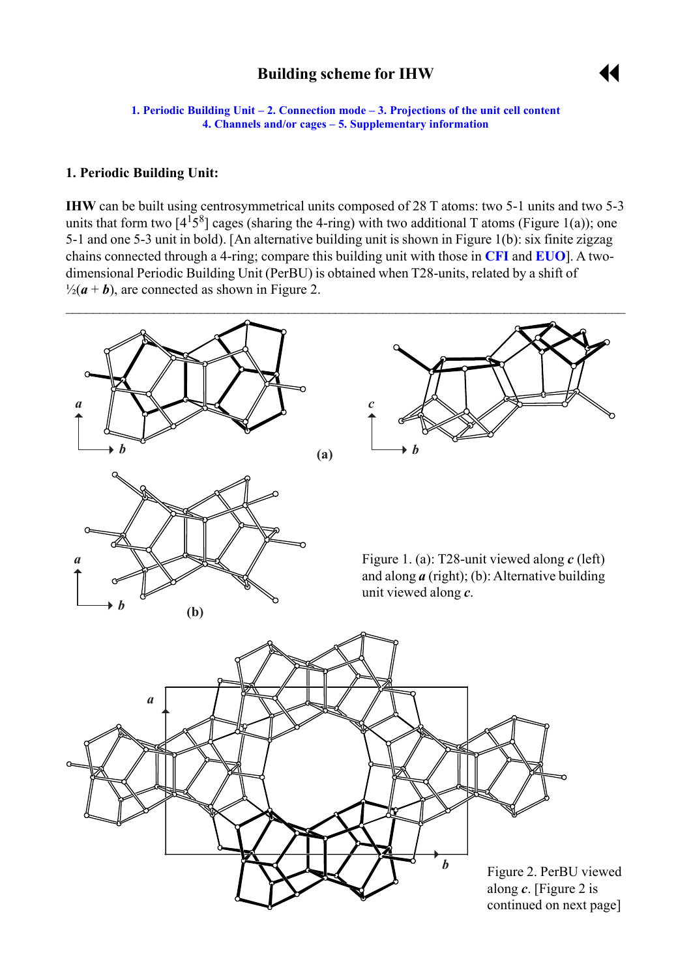# **Building scheme for IHW**



<span id="page-0-0"></span>**1. Periodic Building Unit – [2. Connection mode](#page-1-0) – [3. Projections of the unit cell](#page-1-0) content [4. Channels and/or cages](#page-2-0) – [5. Supplementary information](#page-3-0)** 

#### **1. Periodic Building Unit:**

**IHW** can be built using centrosymmetrical units composed of 28 T atoms: two 5-1 units and two 5-3 units that form two  $[4^{1}5^{8}]$  cages (sharing the 4-ring) with two additional T atoms (Figure 1(a)); one 5-1 and one 5-3 unit in bold). [An alternative building unit is shown in Figure 1(b): six finite zigzag chains connected through a 4-ring; compare this building unit with those in **[CFI](http://www.iza-structure.org/databases/ModelBuilding/CFI.pdf)** and **[EUO](http://www.iza-structure.org/databases/ModelBuilding/EUO.pdf)**]. A twodimensional Periodic Building Unit (PerBU) is obtained when T28-units, related by a shift of  $\frac{1}{2}(a + b)$ , are connected as shown in Figure 2.





Figure 1. (a): T28-unit viewed along *c* (left) and along *a* (right); (b): Alternative building unit viewed along *c*.

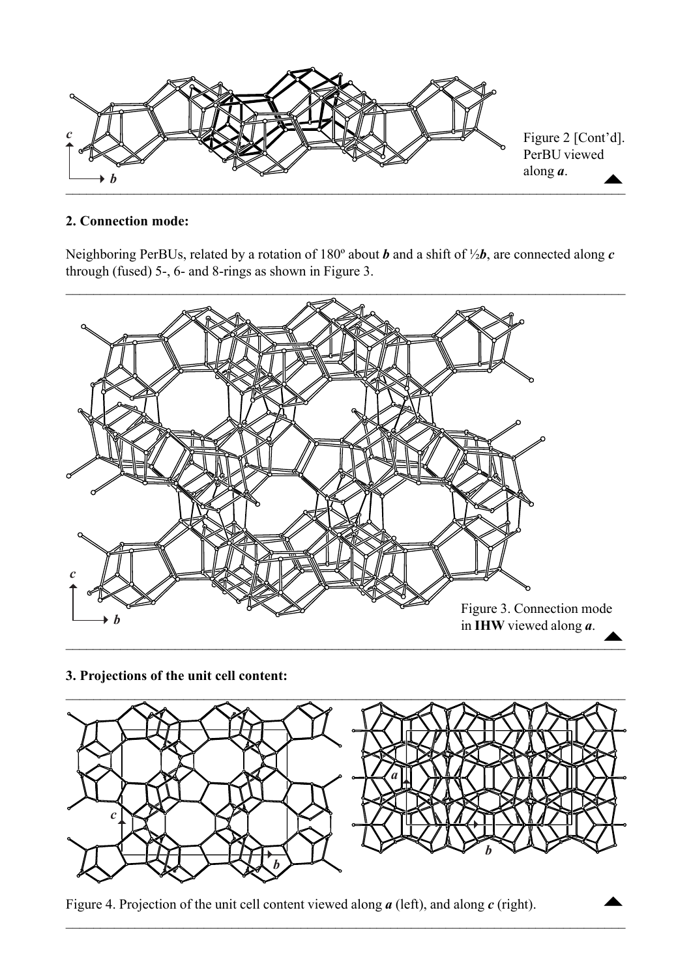<span id="page-1-0"></span>

### **2. Connection mode:**

Neighboring PerBUs, related by a rotation of 180º about *b* and a shift of ½*b*, are connected along *c* through (fused) 5-, 6- and 8-rings as shown in Figure 3.



**3. Projections of the unit cell content:**



 $\mathcal{L}_\mathcal{L} = \mathcal{L}_\mathcal{L} = \mathcal{L}_\mathcal{L} = \mathcal{L}_\mathcal{L} = \mathcal{L}_\mathcal{L} = \mathcal{L}_\mathcal{L} = \mathcal{L}_\mathcal{L} = \mathcal{L}_\mathcal{L} = \mathcal{L}_\mathcal{L} = \mathcal{L}_\mathcal{L} = \mathcal{L}_\mathcal{L} = \mathcal{L}_\mathcal{L} = \mathcal{L}_\mathcal{L} = \mathcal{L}_\mathcal{L} = \mathcal{L}_\mathcal{L} = \mathcal{L}_\mathcal{L} = \mathcal{L}_\mathcal{L}$ 

Figure 4. Projection of the unit cell content viewed along *a* (left), and along *c* (right).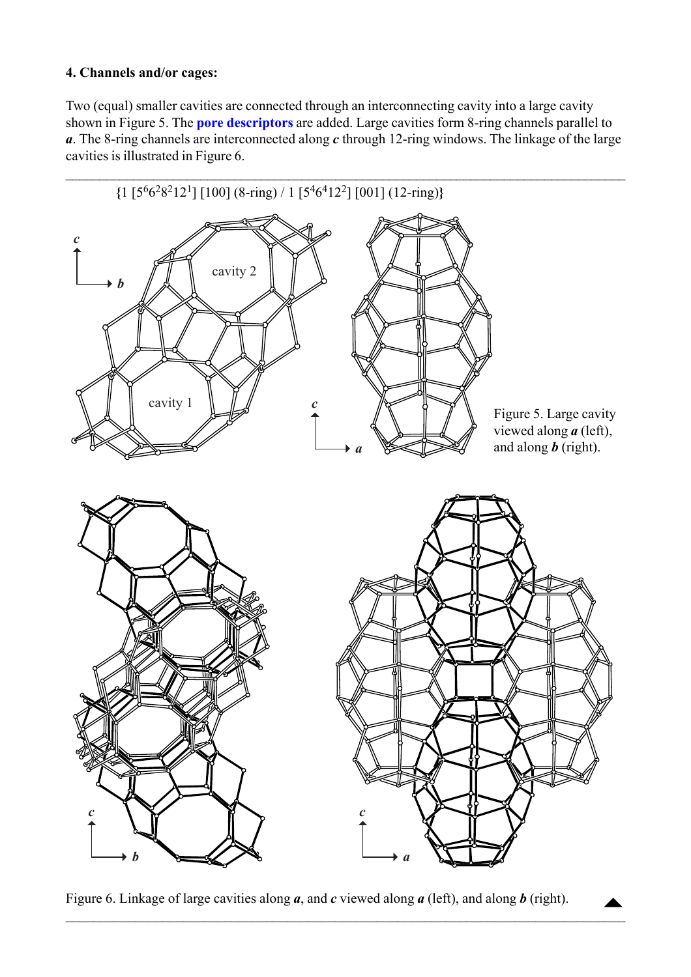### <span id="page-2-0"></span>**4. Channels and/or cages:**

Two (equal) smaller cavities are connected through an interconnecting cavity into a large cavity shown in Figure 5. The **[pore descriptors](http://www.iza-structure.org/databases/ModelBuilding/Introduction.pdf)** are added. Large cavities form 8-ring channels parallel to *a*. The 8-ring channels are interconnected along *c* through 12-ring windows. The linkage of the large cavities is illustrated in Figure 6.



Figure 6. Linkage of large cavities along *a*, and *c* viewed along *a* (left), and along *b* (right).

 $\mathcal{L}_\mathcal{L} = \{ \mathcal{L}_\mathcal{L} = \{ \mathcal{L}_\mathcal{L} = \{ \mathcal{L}_\mathcal{L} = \{ \mathcal{L}_\mathcal{L} = \{ \mathcal{L}_\mathcal{L} = \{ \mathcal{L}_\mathcal{L} = \{ \mathcal{L}_\mathcal{L} = \{ \mathcal{L}_\mathcal{L} = \{ \mathcal{L}_\mathcal{L} = \{ \mathcal{L}_\mathcal{L} = \{ \mathcal{L}_\mathcal{L} = \{ \mathcal{L}_\mathcal{L} = \{ \mathcal{L}_\mathcal{L} = \{ \mathcal{L}_\mathcal{$ 

 $\begin{array}{c}\n\blacktriangle\n\end{array}$